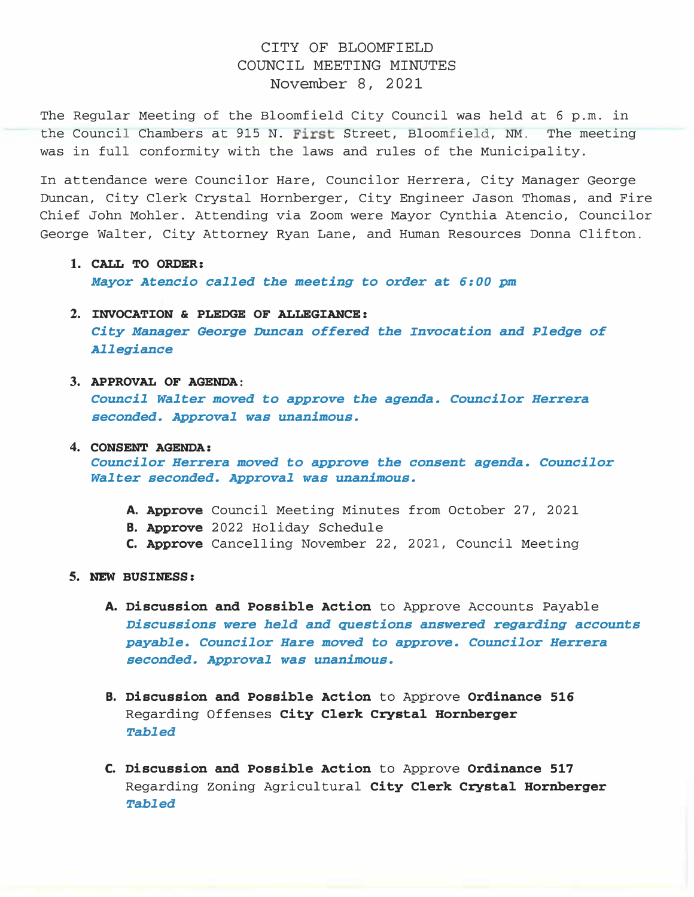## CITY OF BLOOMFIELD COUNCIL MEETING MINUTES November 8, 2021

The Regular Meeting of the Bloomfield City Council was held at 6 p.m. in the Council Chambers at 915 N. First Street, Bloomfield, NM. The meeting was in full conformity with the laws and rules of the Municipality.

In attendance were Councilor Hare, Councilor Herrera, City Manager George Duncan, City Clerk Crystal Hornberger, City Engineer Jason Thomas, and Fire Chief John Mohler. Attending via Zoom were Mayor Cynthia Atencio, Councilor George Walter, City Attorney Ryan Lane, and Human Resources Donna Clifton.

- 1. CALL TO ORDER: Mayor Atencio called the meeting to order at 6:00 pm
- 2. INVOCATION & PLEDGE OF ALLEGIANCE: City Manager George Duncan offered the Invocation and Pledge of Allegiance
- 3. APPROVAL OF AGENDA:

Council Walter moved to approve the agenda. Councilor Herrera seconded. Approval was unanimous.

4. CONSENT AGENDA:

Councilor Herrera moved to approve the consent agenda. Councilor Walter seconded. Approval was unanimous.

- A. Approve Council Meeting Minutes from October 27, 2021
- **B. Approve** 2022 Holiday Schedule
- C. Approve Cancelling November 22, 2021, Council Meeting
- 5. NEW BUSINESS:
	- A. Discussion and Possible Action to Approve Accounts Payable Discussions were held and questions answered regarding accounts payable. Councilor Hare moved to approve. Councilor Herrera seconded. Approval was unanimous.
	- B. Discussion and Possible Action to Approve Ordinance 516 Regarding Offenses City Clerk Crystal Hornberger **Tabled**
	- C. Discussion and Possible Action to Approve Ordinance 517 Regarding Zoning Agricultural City Clerk Crystal Hornberger Tabled